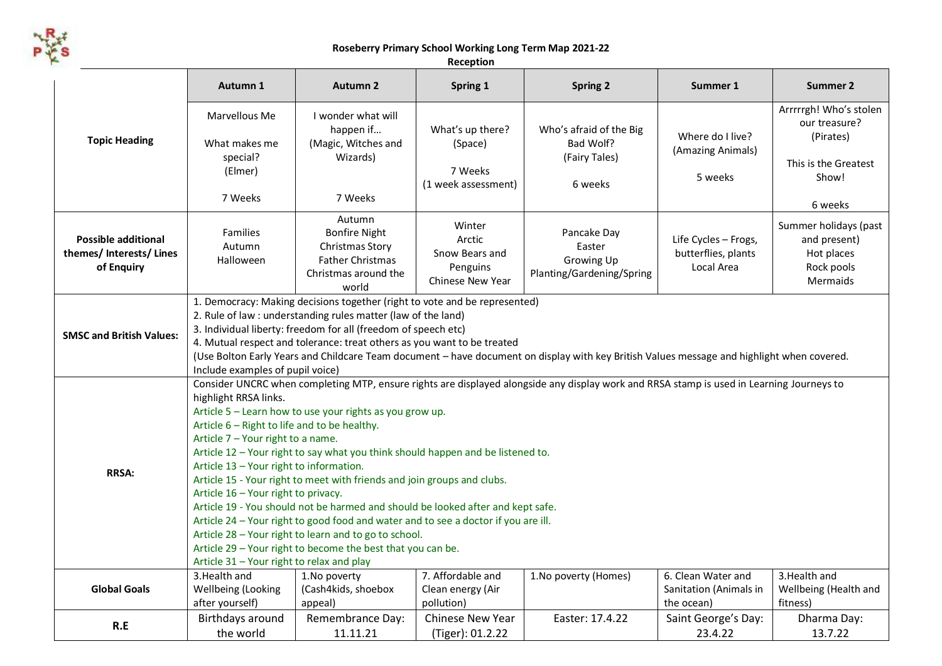

**Roseberry Primary School Working Long Term Map 2021-22**

| Reception |
|-----------|
|-----------|

|                                                                      | Autumn 1                                                                                                                                                                                                                                                                                                                                                                                                                                                                                                                                                                                                                                                                                                                                                                                                                                                             | <b>Autumn 2</b>                                                                                               | Spring 1                                                           | <b>Spring 2</b>                                                         | Summer 1                                                   | <b>Summer 2</b>                                                                       |  |  |  |  |
|----------------------------------------------------------------------|----------------------------------------------------------------------------------------------------------------------------------------------------------------------------------------------------------------------------------------------------------------------------------------------------------------------------------------------------------------------------------------------------------------------------------------------------------------------------------------------------------------------------------------------------------------------------------------------------------------------------------------------------------------------------------------------------------------------------------------------------------------------------------------------------------------------------------------------------------------------|---------------------------------------------------------------------------------------------------------------|--------------------------------------------------------------------|-------------------------------------------------------------------------|------------------------------------------------------------|---------------------------------------------------------------------------------------|--|--|--|--|
| <b>Topic Heading</b>                                                 | Marvellous Me<br>What makes me<br>special?<br>(Elmer)                                                                                                                                                                                                                                                                                                                                                                                                                                                                                                                                                                                                                                                                                                                                                                                                                | I wonder what will<br>happen if<br>(Magic, Witches and<br>Wizards)                                            | What's up there?<br>(Space)<br>7 Weeks<br>(1 week assessment)      | Who's afraid of the Big<br>Bad Wolf?<br>(Fairy Tales)<br>6 weeks        | Where do I live?<br>(Amazing Animals)<br>5 weeks           | Arrrrrgh! Who's stolen<br>our treasure?<br>(Pirates)<br>This is the Greatest<br>Show! |  |  |  |  |
|                                                                      | 7 Weeks                                                                                                                                                                                                                                                                                                                                                                                                                                                                                                                                                                                                                                                                                                                                                                                                                                                              | 7 Weeks                                                                                                       |                                                                    |                                                                         |                                                            | 6 weeks                                                                               |  |  |  |  |
| <b>Possible additional</b><br>themes/ Interests/ Lines<br>of Enquiry | <b>Families</b><br>Autumn<br>Halloween                                                                                                                                                                                                                                                                                                                                                                                                                                                                                                                                                                                                                                                                                                                                                                                                                               | Autumn<br><b>Bonfire Night</b><br>Christmas Story<br><b>Father Christmas</b><br>Christmas around the<br>world | Winter<br>Arctic<br>Snow Bears and<br>Penguins<br>Chinese New Year | Pancake Day<br>Easter<br><b>Growing Up</b><br>Planting/Gardening/Spring | Life Cycles - Frogs,<br>butterflies, plants<br>Local Area  | Summer holidays (past<br>and present)<br>Hot places<br>Rock pools<br>Mermaids         |  |  |  |  |
| <b>SMSC and British Values:</b>                                      | 1. Democracy: Making decisions together (right to vote and be represented)<br>2. Rule of law : understanding rules matter (law of the land)<br>3. Individual liberty: freedom for all (freedom of speech etc)<br>4. Mutual respect and tolerance: treat others as you want to be treated<br>(Use Bolton Early Years and Childcare Team document - have document on display with key British Values message and highlight when covered.<br>Include examples of pupil voice)                                                                                                                                                                                                                                                                                                                                                                                           |                                                                                                               |                                                                    |                                                                         |                                                            |                                                                                       |  |  |  |  |
| <b>RRSA:</b>                                                         | Consider UNCRC when completing MTP, ensure rights are displayed alongside any display work and RRSA stamp is used in Learning Journeys to<br>highlight RRSA links.<br>Article 5 - Learn how to use your rights as you grow up.<br>Article 6 - Right to life and to be healthy.<br>Article 7 - Your right to a name.<br>Article 12 - Your right to say what you think should happen and be listened to.<br>Article 13 - Your right to information.<br>Article 15 - Your right to meet with friends and join groups and clubs.<br>Article 16 - Your right to privacy.<br>Article 19 - You should not be harmed and should be looked after and kept safe.<br>Article 24 - Your right to good food and water and to see a doctor if you are ill.<br>Article 28 - Your right to learn and to go to school.<br>Article 29 - Your right to become the best that you can be. |                                                                                                               |                                                                    |                                                                         |                                                            |                                                                                       |  |  |  |  |
| <b>Global Goals</b>                                                  | 3. Health and<br>Wellbeing (Looking<br>after yourself)                                                                                                                                                                                                                                                                                                                                                                                                                                                                                                                                                                                                                                                                                                                                                                                                               | 1. No poverty<br>(Cash4kids, shoebox<br>appeal)                                                               | 7. Affordable and<br>Clean energy (Air<br>pollution)               | 1. No poverty (Homes)                                                   | 6. Clean Water and<br>Sanitation (Animals in<br>the ocean) | 3. Health and<br>Wellbeing (Health and<br>fitness)                                    |  |  |  |  |
| R.E                                                                  | Birthdays around<br>the world                                                                                                                                                                                                                                                                                                                                                                                                                                                                                                                                                                                                                                                                                                                                                                                                                                        | Remembrance Day:<br>11.11.21                                                                                  | <b>Chinese New Year</b><br>(Tiger): 01.2.22                        | Easter: 17.4.22                                                         | Saint George's Day:<br>23.4.22                             | Dharma Day:<br>13.7.22                                                                |  |  |  |  |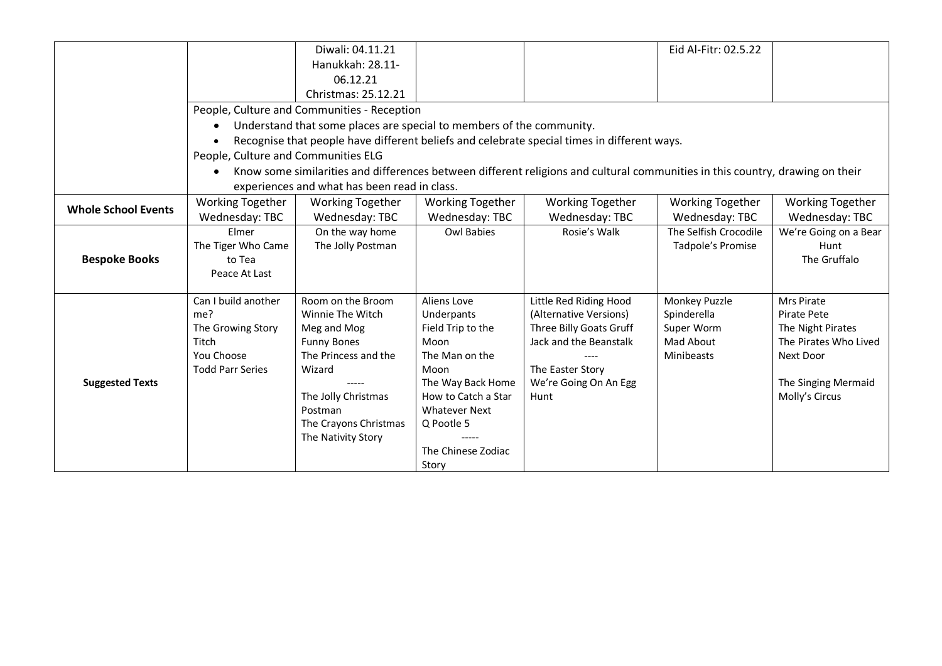|                            |                                     | Diwali: 04.11.21                                                     |                         |                                                                                                                               | Eid Al-Fitr: 02.5.22    |                         |
|----------------------------|-------------------------------------|----------------------------------------------------------------------|-------------------------|-------------------------------------------------------------------------------------------------------------------------------|-------------------------|-------------------------|
|                            |                                     | Hanukkah: 28.11-                                                     |                         |                                                                                                                               |                         |                         |
|                            |                                     | 06.12.21                                                             |                         |                                                                                                                               |                         |                         |
|                            |                                     | Christmas: 25.12.21                                                  |                         |                                                                                                                               |                         |                         |
|                            |                                     | People, Culture and Communities - Reception                          |                         |                                                                                                                               |                         |                         |
|                            | $\bullet$                           | Understand that some places are special to members of the community. |                         |                                                                                                                               |                         |                         |
|                            | $\bullet$                           |                                                                      |                         | Recognise that people have different beliefs and celebrate special times in different ways.                                   |                         |                         |
|                            | People, Culture and Communities ELG |                                                                      |                         |                                                                                                                               |                         |                         |
|                            |                                     |                                                                      |                         | Know some similarities and differences between different religions and cultural communities in this country, drawing on their |                         |                         |
|                            |                                     | experiences and what has been read in class.                         |                         |                                                                                                                               |                         |                         |
| <b>Whole School Events</b> | <b>Working Together</b>             | <b>Working Together</b>                                              | <b>Working Together</b> | <b>Working Together</b>                                                                                                       | <b>Working Together</b> | <b>Working Together</b> |
|                            | Wednesday: TBC                      | Wednesday: TBC                                                       | Wednesday: TBC          | Wednesday: TBC                                                                                                                | Wednesday: TBC          | Wednesday: TBC          |
|                            | Elmer                               | On the way home                                                      | <b>Owl Babies</b>       | Rosie's Walk                                                                                                                  | The Selfish Crocodile   | We're Going on a Bear   |
|                            | The Tiger Who Came                  | The Jolly Postman                                                    |                         |                                                                                                                               | Tadpole's Promise       | Hunt                    |
| <b>Bespoke Books</b>       | to Tea                              |                                                                      |                         |                                                                                                                               |                         | The Gruffalo            |
|                            | Peace At Last                       |                                                                      |                         |                                                                                                                               |                         |                         |
|                            | Can I build another                 | Room on the Broom                                                    | Aliens Love             | Little Red Riding Hood                                                                                                        | Monkey Puzzle           | Mrs Pirate              |
|                            | me?                                 | Winnie The Witch                                                     | Underpants              | (Alternative Versions)                                                                                                        | Spinderella             | Pirate Pete             |
|                            | The Growing Story                   | Meg and Mog                                                          | Field Trip to the       | Three Billy Goats Gruff                                                                                                       | Super Worm              | The Night Pirates       |
|                            | Titch                               | <b>Funny Bones</b>                                                   | Moon                    | Jack and the Beanstalk                                                                                                        | Mad About               | The Pirates Who Lived   |
|                            | You Choose                          | The Princess and the                                                 | The Man on the          |                                                                                                                               | Minibeasts              | Next Door               |
|                            | <b>Todd Parr Series</b>             | Wizard                                                               | Moon                    | The Easter Story                                                                                                              |                         |                         |
| <b>Suggested Texts</b>     |                                     |                                                                      | The Way Back Home       | We're Going On An Egg                                                                                                         |                         | The Singing Mermaid     |
|                            |                                     | The Jolly Christmas                                                  | How to Catch a Star     | Hunt                                                                                                                          |                         | Molly's Circus          |
|                            |                                     | Postman                                                              | <b>Whatever Next</b>    |                                                                                                                               |                         |                         |
|                            |                                     | The Crayons Christmas                                                | Q Pootle 5              |                                                                                                                               |                         |                         |
|                            |                                     | The Nativity Story                                                   |                         |                                                                                                                               |                         |                         |
|                            |                                     |                                                                      | The Chinese Zodiac      |                                                                                                                               |                         |                         |
|                            |                                     |                                                                      | Story                   |                                                                                                                               |                         |                         |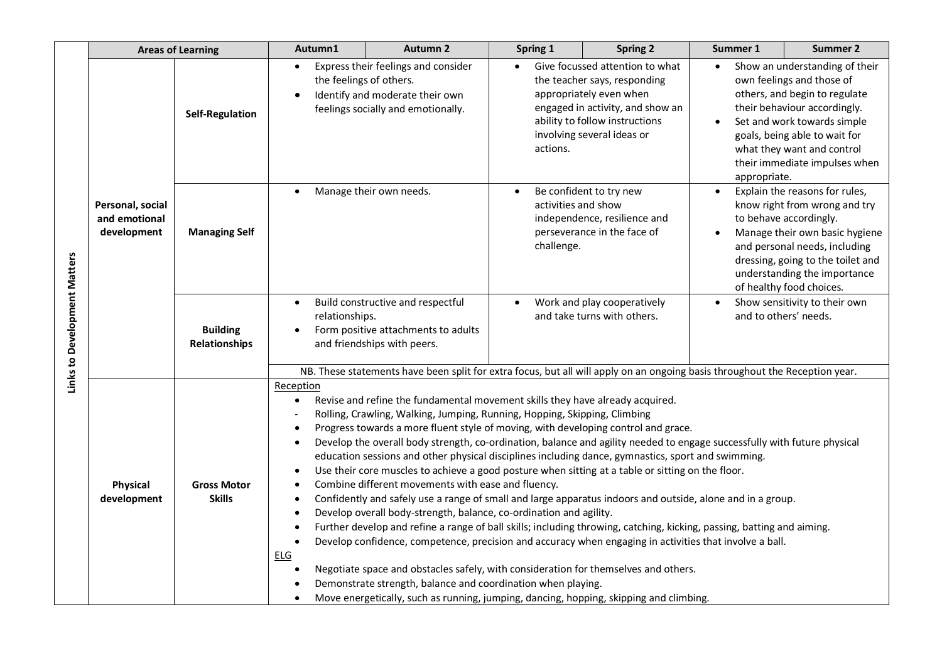|                              | <b>Areas of Learning</b>                         |                                         | Autumn1                                                                                                                                                   | <b>Autumn 2</b>                                                                                                                                                                                                                                                                                                                                                                                                                                                                                                                                                                                                                                                                                                                                                                                                                                                                                                                                                                                                                                                                                                                                                                                                                                                                                                         | Spring 1                          | <b>Spring 2</b>                                                                                                                                                                                | Summer 1                                                                                                                                                                                                                                                      | <b>Summer 2</b>                                                                                                                                                                                                                                             |  |  |  |
|------------------------------|--------------------------------------------------|-----------------------------------------|-----------------------------------------------------------------------------------------------------------------------------------------------------------|-------------------------------------------------------------------------------------------------------------------------------------------------------------------------------------------------------------------------------------------------------------------------------------------------------------------------------------------------------------------------------------------------------------------------------------------------------------------------------------------------------------------------------------------------------------------------------------------------------------------------------------------------------------------------------------------------------------------------------------------------------------------------------------------------------------------------------------------------------------------------------------------------------------------------------------------------------------------------------------------------------------------------------------------------------------------------------------------------------------------------------------------------------------------------------------------------------------------------------------------------------------------------------------------------------------------------|-----------------------------------|------------------------------------------------------------------------------------------------------------------------------------------------------------------------------------------------|---------------------------------------------------------------------------------------------------------------------------------------------------------------------------------------------------------------------------------------------------------------|-------------------------------------------------------------------------------------------------------------------------------------------------------------------------------------------------------------------------------------------------------------|--|--|--|
| Links to Development Matters |                                                  | <b>Self-Regulation</b>                  | $\bullet$<br>the feelings of others.<br>$\bullet$                                                                                                         | Express their feelings and consider<br>Identify and moderate their own<br>feelings socially and emotionally.                                                                                                                                                                                                                                                                                                                                                                                                                                                                                                                                                                                                                                                                                                                                                                                                                                                                                                                                                                                                                                                                                                                                                                                                            | actions.                          | Give focussed attention to what<br>the teacher says, responding<br>appropriately even when<br>engaged in activity, and show an<br>ability to follow instructions<br>involving several ideas or | $\bullet$<br>appropriate.                                                                                                                                                                                                                                     | Show an understanding of their<br>own feelings and those of<br>others, and begin to regulate<br>their behaviour accordingly.<br>Set and work towards simple<br>goals, being able to wait for<br>what they want and control<br>their immediate impulses when |  |  |  |
|                              | Personal, social<br>and emotional<br>development | <b>Managing Self</b>                    |                                                                                                                                                           | Manage their own needs.                                                                                                                                                                                                                                                                                                                                                                                                                                                                                                                                                                                                                                                                                                                                                                                                                                                                                                                                                                                                                                                                                                                                                                                                                                                                                                 | activities and show<br>challenge. | Be confident to try new<br>independence, resilience and<br>perseverance in the face of                                                                                                         | Explain the reasons for rules,<br>know right from wrong and try<br>to behave accordingly.<br>Manage their own basic hygiene<br>and personal needs, including<br>dressing, going to the toilet and<br>understanding the importance<br>of healthy food choices. |                                                                                                                                                                                                                                                             |  |  |  |
|                              |                                                  | <b>Building</b><br><b>Relationships</b> | $\bullet$<br>relationships.                                                                                                                               | Build constructive and respectful<br>Form positive attachments to adults<br>and friendships with peers.                                                                                                                                                                                                                                                                                                                                                                                                                                                                                                                                                                                                                                                                                                                                                                                                                                                                                                                                                                                                                                                                                                                                                                                                                 |                                   | Work and play cooperatively<br>and take turns with others.                                                                                                                                     |                                                                                                                                                                                                                                                               | Show sensitivity to their own<br>and to others' needs.                                                                                                                                                                                                      |  |  |  |
|                              |                                                  |                                         | NB. These statements have been split for extra focus, but all will apply on an ongoing basis throughout the Reception year.                               |                                                                                                                                                                                                                                                                                                                                                                                                                                                                                                                                                                                                                                                                                                                                                                                                                                                                                                                                                                                                                                                                                                                                                                                                                                                                                                                         |                                   |                                                                                                                                                                                                |                                                                                                                                                                                                                                                               |                                                                                                                                                                                                                                                             |  |  |  |
|                              | <b>Physical</b><br>development                   | <b>Gross Motor</b><br><b>Skills</b>     | Reception<br>$\bullet$<br>$\bullet$<br>$\bullet$<br>$\bullet$<br>$\bullet$<br>$\bullet$<br>$\bullet$<br>$\bullet$<br>$\bullet$<br><b>ELG</b><br>$\bullet$ | Revise and refine the fundamental movement skills they have already acquired.<br>Rolling, Crawling, Walking, Jumping, Running, Hopping, Skipping, Climbing<br>Progress towards a more fluent style of moving, with developing control and grace.<br>Develop the overall body strength, co-ordination, balance and agility needed to engage successfully with future physical<br>education sessions and other physical disciplines including dance, gymnastics, sport and swimming.<br>Use their core muscles to achieve a good posture when sitting at a table or sitting on the floor.<br>Combine different movements with ease and fluency.<br>Confidently and safely use a range of small and large apparatus indoors and outside, alone and in a group.<br>Develop overall body-strength, balance, co-ordination and agility.<br>Further develop and refine a range of ball skills; including throwing, catching, kicking, passing, batting and aiming.<br>Develop confidence, competence, precision and accuracy when engaging in activities that involve a ball.<br>Negotiate space and obstacles safely, with consideration for themselves and others.<br>Demonstrate strength, balance and coordination when playing.<br>Move energetically, such as running, jumping, dancing, hopping, skipping and climbing. |                                   |                                                                                                                                                                                                |                                                                                                                                                                                                                                                               |                                                                                                                                                                                                                                                             |  |  |  |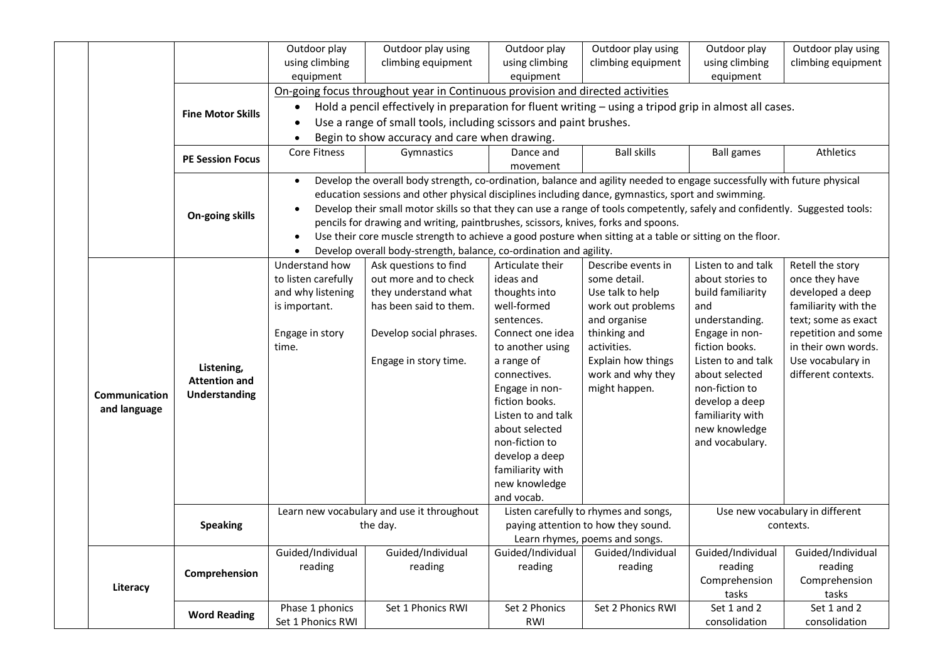|                                                                                |                                    | Outdoor play                                  | Outdoor play using                                                                                                           | Outdoor play       | Outdoor play using                    | Outdoor play       | Outdoor play using              |  |  |
|--------------------------------------------------------------------------------|------------------------------------|-----------------------------------------------|------------------------------------------------------------------------------------------------------------------------------|--------------------|---------------------------------------|--------------------|---------------------------------|--|--|
|                                                                                |                                    | using climbing                                | climbing equipment                                                                                                           | using climbing     | climbing equipment                    | using climbing     | climbing equipment              |  |  |
|                                                                                |                                    | equipment                                     |                                                                                                                              | equipment          |                                       | equipment          |                                 |  |  |
| On-going focus throughout year in Continuous provision and directed activities |                                    |                                               |                                                                                                                              |                    |                                       |                    |                                 |  |  |
|                                                                                | <b>Fine Motor Skills</b>           |                                               | Hold a pencil effectively in preparation for fluent writing - using a tripod grip in almost all cases.                       |                    |                                       |                    |                                 |  |  |
|                                                                                |                                    |                                               | Use a range of small tools, including scissors and paint brushes.                                                            |                    |                                       |                    |                                 |  |  |
|                                                                                |                                    | Begin to show accuracy and care when drawing. |                                                                                                                              |                    |                                       |                    |                                 |  |  |
|                                                                                | <b>PE Session Focus</b>            | Core Fitness                                  | Gymnastics                                                                                                                   | Dance and          | <b>Ball skills</b>                    | <b>Ball games</b>  | Athletics                       |  |  |
|                                                                                |                                    |                                               |                                                                                                                              | movement           |                                       |                    |                                 |  |  |
|                                                                                |                                    |                                               | Develop the overall body strength, co-ordination, balance and agility needed to engage successfully with future physical     |                    |                                       |                    |                                 |  |  |
|                                                                                |                                    |                                               | education sessions and other physical disciplines including dance, gymnastics, sport and swimming.                           |                    |                                       |                    |                                 |  |  |
|                                                                                | On-going skills                    |                                               | Develop their small motor skills so that they can use a range of tools competently, safely and confidently. Suggested tools: |                    |                                       |                    |                                 |  |  |
|                                                                                |                                    |                                               | pencils for drawing and writing, paintbrushes, scissors, knives, forks and spoons.                                           |                    |                                       |                    |                                 |  |  |
|                                                                                |                                    |                                               | Use their core muscle strength to achieve a good posture when sitting at a table or sitting on the floor.                    |                    |                                       |                    |                                 |  |  |
|                                                                                |                                    |                                               | Develop overall body-strength, balance, co-ordination and agility.                                                           |                    |                                       |                    |                                 |  |  |
|                                                                                |                                    | Understand how                                | Ask questions to find                                                                                                        | Articulate their   | Describe events in                    | Listen to and talk | Retell the story                |  |  |
|                                                                                |                                    | to listen carefully                           | out more and to check                                                                                                        | ideas and          | some detail.                          | about stories to   | once they have                  |  |  |
|                                                                                |                                    | and why listening                             | they understand what                                                                                                         | thoughts into      | Use talk to help                      | build familiarity  | developed a deep                |  |  |
|                                                                                |                                    | is important.                                 | has been said to them.                                                                                                       | well-formed        | work out problems                     | and                | familiarity with the            |  |  |
|                                                                                |                                    |                                               |                                                                                                                              | sentences.         | and organise                          | understanding.     | text; some as exact             |  |  |
|                                                                                |                                    | Engage in story                               | Develop social phrases.                                                                                                      | Connect one idea   | thinking and                          | Engage in non-     | repetition and some             |  |  |
|                                                                                | Listening,<br><b>Attention and</b> | time.                                         |                                                                                                                              | to another using   | activities.                           | fiction books.     | in their own words.             |  |  |
|                                                                                |                                    |                                               | Engage in story time.                                                                                                        | a range of         | Explain how things                    | Listen to and talk | Use vocabulary in               |  |  |
|                                                                                |                                    |                                               |                                                                                                                              | connectives.       | work and why they                     | about selected     | different contexts.             |  |  |
|                                                                                |                                    |                                               |                                                                                                                              | Engage in non-     | might happen.                         | non-fiction to     |                                 |  |  |
| <b>Communication</b>                                                           | <b>Understanding</b>               |                                               |                                                                                                                              | fiction books.     |                                       | develop a deep     |                                 |  |  |
| and language                                                                   |                                    |                                               |                                                                                                                              | Listen to and talk |                                       | familiarity with   |                                 |  |  |
|                                                                                |                                    |                                               |                                                                                                                              | about selected     |                                       | new knowledge      |                                 |  |  |
|                                                                                |                                    |                                               |                                                                                                                              | non-fiction to     |                                       | and vocabulary.    |                                 |  |  |
|                                                                                |                                    |                                               |                                                                                                                              | develop a deep     |                                       |                    |                                 |  |  |
|                                                                                |                                    |                                               |                                                                                                                              | familiarity with   |                                       |                    |                                 |  |  |
|                                                                                |                                    |                                               |                                                                                                                              | new knowledge      |                                       |                    |                                 |  |  |
|                                                                                |                                    |                                               |                                                                                                                              | and vocab.         |                                       |                    |                                 |  |  |
|                                                                                |                                    |                                               | Learn new vocabulary and use it throughout                                                                                   |                    | Listen carefully to rhymes and songs, |                    | Use new vocabulary in different |  |  |
|                                                                                | <b>Speaking</b>                    |                                               | the day.                                                                                                                     |                    | paying attention to how they sound.   |                    | contexts.                       |  |  |
|                                                                                |                                    |                                               |                                                                                                                              |                    | Learn rhymes, poems and songs.        |                    |                                 |  |  |
|                                                                                |                                    | Guided/Individual                             | Guided/Individual                                                                                                            | Guided/Individual  | Guided/Individual                     | Guided/Individual  | Guided/Individual               |  |  |
|                                                                                |                                    | reading                                       | reading                                                                                                                      | reading            | reading                               | reading            | reading                         |  |  |
|                                                                                | Comprehension                      |                                               |                                                                                                                              |                    |                                       | Comprehension      | Comprehension                   |  |  |
| Literacy                                                                       |                                    |                                               |                                                                                                                              |                    |                                       | tasks              | tasks                           |  |  |
|                                                                                | <b>Word Reading</b>                | Phase 1 phonics                               | Set 1 Phonics RWI                                                                                                            | Set 2 Phonics      | Set 2 Phonics RWI                     | Set 1 and 2        | Set 1 and 2                     |  |  |
|                                                                                |                                    | Set 1 Phonics RWI                             |                                                                                                                              | RWI                |                                       | consolidation      | consolidation                   |  |  |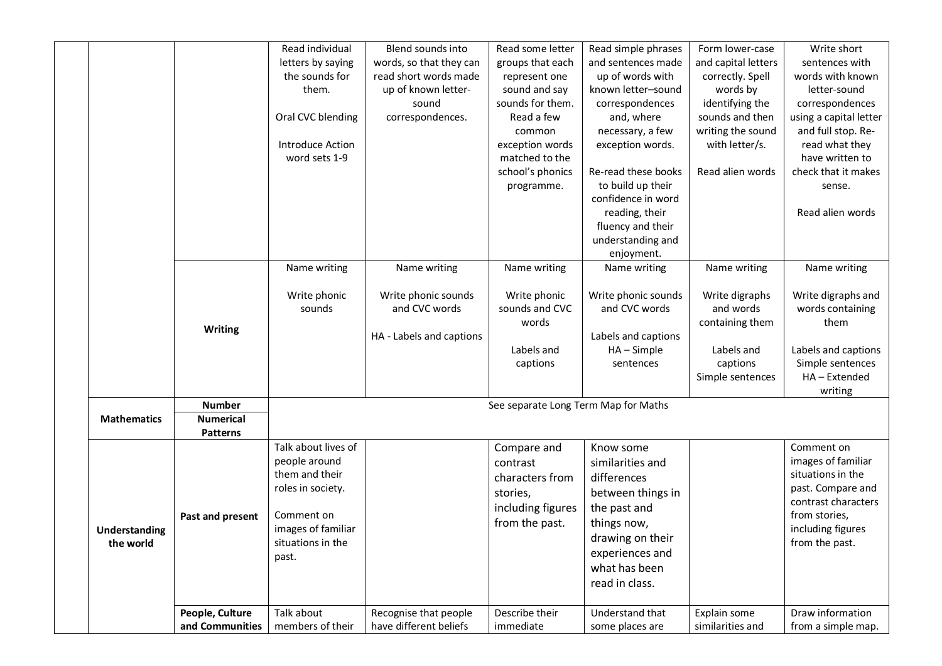|                                   |                                     | Read individual<br>letters by saying<br>the sounds for<br>them.                                                                               | Blend sounds into<br>words, so that they can<br>read short words made<br>up of known letter- | Read some letter<br>groups that each<br>represent one<br>sound and say                        | Read simple phrases<br>and sentences made<br>up of words with<br>known letter-sound                                                                                        | Form lower-case<br>and capital letters<br>correctly. Spell<br>words by    | Write short<br>sentences with<br>words with known<br>letter-sound                                                                                         |
|-----------------------------------|-------------------------------------|-----------------------------------------------------------------------------------------------------------------------------------------------|----------------------------------------------------------------------------------------------|-----------------------------------------------------------------------------------------------|----------------------------------------------------------------------------------------------------------------------------------------------------------------------------|---------------------------------------------------------------------------|-----------------------------------------------------------------------------------------------------------------------------------------------------------|
|                                   |                                     | Oral CVC blending<br>Introduce Action                                                                                                         | sound<br>correspondences.                                                                    | sounds for them.<br>Read a few<br>common<br>exception words                                   | correspondences<br>and, where<br>necessary, a few<br>exception words.                                                                                                      | identifying the<br>sounds and then<br>writing the sound<br>with letter/s. | correspondences<br>using a capital letter<br>and full stop. Re-<br>read what they                                                                         |
|                                   |                                     | word sets 1-9                                                                                                                                 |                                                                                              | matched to the<br>school's phonics<br>programme.                                              | Re-read these books<br>to build up their<br>confidence in word                                                                                                             | Read alien words                                                          | have written to<br>check that it makes<br>sense.                                                                                                          |
|                                   |                                     |                                                                                                                                               |                                                                                              |                                                                                               | reading, their<br>fluency and their<br>understanding and<br>enjoyment.                                                                                                     |                                                                           | Read alien words                                                                                                                                          |
|                                   |                                     | Name writing<br>Write phonic<br>sounds                                                                                                        | Name writing<br>Write phonic sounds<br>and CVC words                                         | Name writing<br>Write phonic<br>sounds and CVC                                                | Name writing<br>Write phonic sounds<br>and CVC words                                                                                                                       | Name writing<br>Write digraphs<br>and words                               | Name writing<br>Write digraphs and<br>words containing                                                                                                    |
|                                   | <b>Writing</b>                      |                                                                                                                                               | HA - Labels and captions                                                                     | words<br>Labels and<br>captions                                                               | Labels and captions<br>$HA - Simple$<br>sentences                                                                                                                          | containing them<br>Labels and<br>captions                                 | them<br>Labels and captions<br>Simple sentences                                                                                                           |
|                                   | <b>Number</b>                       |                                                                                                                                               |                                                                                              | See separate Long Term Map for Maths                                                          |                                                                                                                                                                            | Simple sentences                                                          | HA-Extended<br>writing                                                                                                                                    |
| <b>Mathematics</b>                | <b>Numerical</b><br><b>Patterns</b> |                                                                                                                                               |                                                                                              |                                                                                               |                                                                                                                                                                            |                                                                           |                                                                                                                                                           |
| <b>Understanding</b><br>the world | Past and present                    | Talk about lives of<br>people around<br>them and their<br>roles in society.<br>Comment on<br>images of familiar<br>situations in the<br>past. |                                                                                              | Compare and<br>contrast<br>characters from<br>stories,<br>including figures<br>from the past. | Know some<br>similarities and<br>differences<br>between things in<br>the past and<br>things now,<br>drawing on their<br>experiences and<br>what has been<br>read in class. |                                                                           | Comment on<br>images of familiar<br>situations in the<br>past. Compare and<br>contrast characters<br>from stories,<br>including figures<br>from the past. |
|                                   | People, Culture<br>and Communities  | Talk about<br>members of their                                                                                                                | Recognise that people<br>have different beliefs                                              | Describe their<br>immediate                                                                   | Understand that<br>some places are                                                                                                                                         | Explain some<br>similarities and                                          | Draw information<br>from a simple map.                                                                                                                    |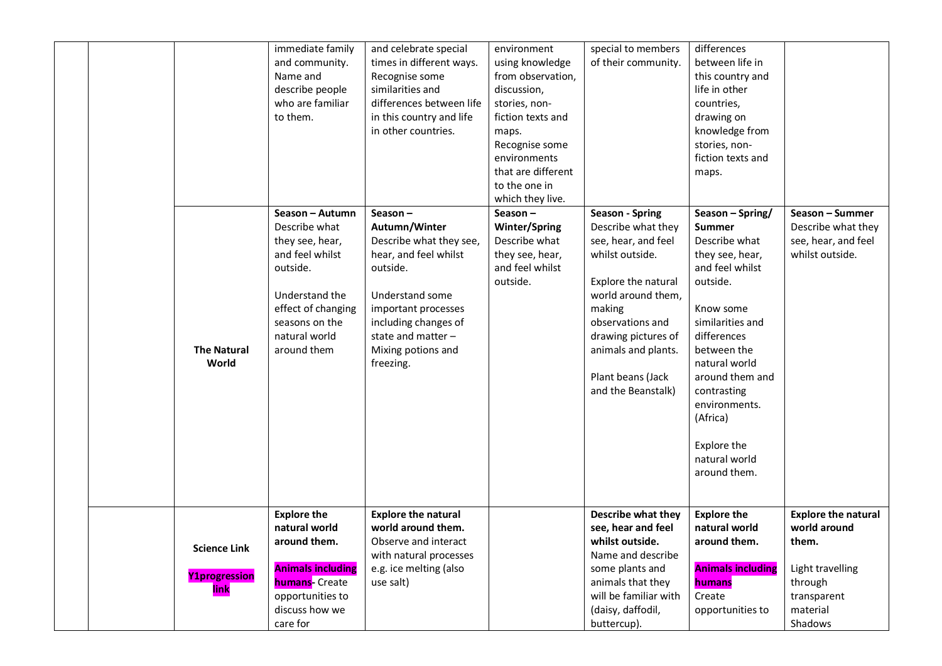|  |                                                     | immediate family<br>and community.<br>Name and<br>describe people<br>who are familiar<br>to them.                                                                            | and celebrate special<br>times in different ways.<br>Recognise some<br>similarities and<br>differences between life<br>in this country and life<br>in other countries.                                                 | environment<br>using knowledge<br>from observation,<br>discussion,<br>stories, non-<br>fiction texts and<br>maps.<br>Recognise some<br>environments<br>that are different<br>to the one in<br>which they live. | special to members<br>of their community.                                                                                                                                                                                                                  | differences<br>between life in<br>this country and<br>life in other<br>countries,<br>drawing on<br>knowledge from<br>stories, non-<br>fiction texts and<br>maps.                                                                                                                                    |                                                                                                                          |
|--|-----------------------------------------------------|------------------------------------------------------------------------------------------------------------------------------------------------------------------------------|------------------------------------------------------------------------------------------------------------------------------------------------------------------------------------------------------------------------|----------------------------------------------------------------------------------------------------------------------------------------------------------------------------------------------------------------|------------------------------------------------------------------------------------------------------------------------------------------------------------------------------------------------------------------------------------------------------------|-----------------------------------------------------------------------------------------------------------------------------------------------------------------------------------------------------------------------------------------------------------------------------------------------------|--------------------------------------------------------------------------------------------------------------------------|
|  | <b>The Natural</b><br>World                         | Season - Autumn<br>Describe what<br>they see, hear,<br>and feel whilst<br>outside.<br>Understand the<br>effect of changing<br>seasons on the<br>natural world<br>around them | Season $-$<br>Autumn/Winter<br>Describe what they see,<br>hear, and feel whilst<br>outside.<br>Understand some<br>important processes<br>including changes of<br>state and matter -<br>Mixing potions and<br>freezing. | Season $-$<br><b>Winter/Spring</b><br>Describe what<br>they see, hear,<br>and feel whilst<br>outside.                                                                                                          | <b>Season - Spring</b><br>Describe what they<br>see, hear, and feel<br>whilst outside.<br>Explore the natural<br>world around them,<br>making<br>observations and<br>drawing pictures of<br>animals and plants.<br>Plant beans (Jack<br>and the Beanstalk) | Season - Spring/<br><b>Summer</b><br>Describe what<br>they see, hear,<br>and feel whilst<br>outside.<br>Know some<br>similarities and<br>differences<br>between the<br>natural world<br>around them and<br>contrasting<br>environments.<br>(Africa)<br>Explore the<br>natural world<br>around them. | Season - Summer<br>Describe what they<br>see, hear, and feel<br>whilst outside.                                          |
|  | <b>Science Link</b><br><b>Y1progression</b><br>link | <b>Explore the</b><br>natural world<br>around them.<br><b>Animals including</b><br><b>humans-</b> Create<br>opportunities to<br>discuss how we<br>care for                   | <b>Explore the natural</b><br>world around them.<br>Observe and interact<br>with natural processes<br>e.g. ice melting (also<br>use salt)                                                                              |                                                                                                                                                                                                                | Describe what they<br>see, hear and feel<br>whilst outside.<br>Name and describe<br>some plants and<br>animals that they<br>will be familiar with<br>(daisy, daffodil,<br>buttercup).                                                                      | <b>Explore the</b><br>natural world<br>around them.<br><b>Animals including</b><br>humans<br>Create<br>opportunities to                                                                                                                                                                             | <b>Explore the natural</b><br>world around<br>them.<br>Light travelling<br>through<br>transparent<br>material<br>Shadows |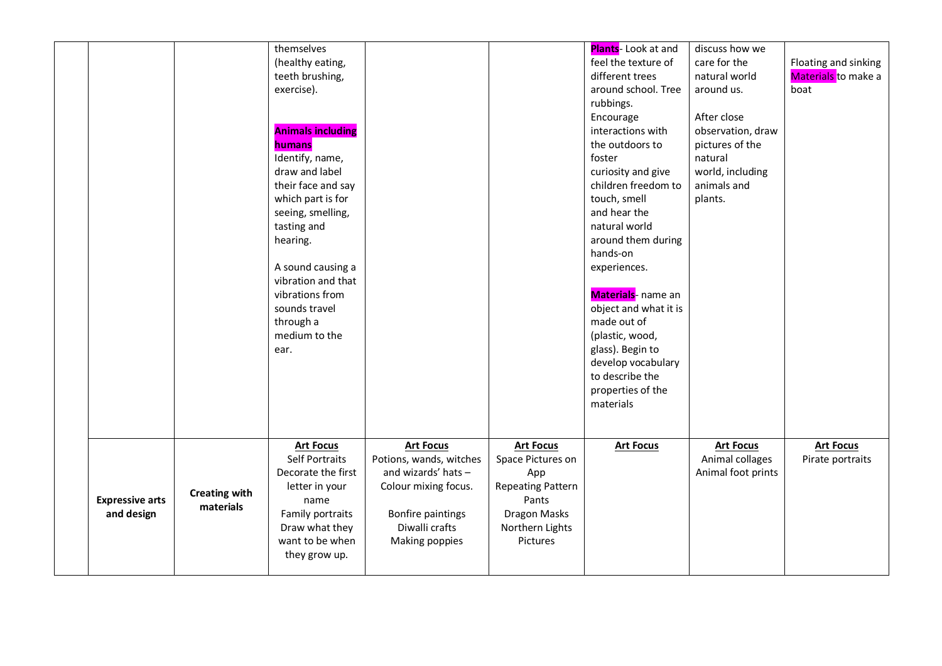|                                      |                                   | themselves<br>(healthy eating,<br>teeth brushing,<br>exercise).<br><b>Animals including</b><br>humans<br>Identify, name,<br>draw and label<br>their face and say<br>which part is for<br>seeing, smelling,<br>tasting and<br>hearing.<br>A sound causing a<br>vibration and that<br>vibrations from<br>sounds travel<br>through a<br>medium to the<br>ear. |                                                                                                                                                     |                                                                                                                                  | Plants- Look at and<br>feel the texture of<br>different trees<br>around school. Tree<br>rubbings.<br>Encourage<br>interactions with<br>the outdoors to<br>foster<br>curiosity and give<br>children freedom to<br>touch, smell<br>and hear the<br>natural world<br>around them during<br>hands-on<br>experiences.<br>Materials- name an<br>object and what it is<br>made out of<br>(plastic, wood,<br>glass). Begin to<br>develop vocabulary<br>to describe the<br>properties of the<br>materials | discuss how we<br>care for the<br>natural world<br>around us.<br>After close<br>observation, draw<br>pictures of the<br>natural<br>world, including<br>animals and<br>plants. | Floating and sinking<br>Materials to make a<br>boat |
|--------------------------------------|-----------------------------------|------------------------------------------------------------------------------------------------------------------------------------------------------------------------------------------------------------------------------------------------------------------------------------------------------------------------------------------------------------|-----------------------------------------------------------------------------------------------------------------------------------------------------|----------------------------------------------------------------------------------------------------------------------------------|--------------------------------------------------------------------------------------------------------------------------------------------------------------------------------------------------------------------------------------------------------------------------------------------------------------------------------------------------------------------------------------------------------------------------------------------------------------------------------------------------|-------------------------------------------------------------------------------------------------------------------------------------------------------------------------------|-----------------------------------------------------|
| <b>Expressive arts</b><br>and design | <b>Creating with</b><br>materials | <b>Art Focus</b><br><b>Self Portraits</b><br>Decorate the first<br>letter in your<br>name<br>Family portraits<br>Draw what they<br>want to be when<br>they grow up.                                                                                                                                                                                        | <b>Art Focus</b><br>Potions, wands, witches<br>and wizards' hats -<br>Colour mixing focus.<br>Bonfire paintings<br>Diwalli crafts<br>Making poppies | <b>Art Focus</b><br>Space Pictures on<br>App<br><b>Repeating Pattern</b><br>Pants<br>Dragon Masks<br>Northern Lights<br>Pictures | <b>Art Focus</b>                                                                                                                                                                                                                                                                                                                                                                                                                                                                                 | <b>Art Focus</b><br>Animal collages<br>Animal foot prints                                                                                                                     | <b>Art Focus</b><br>Pirate portraits                |